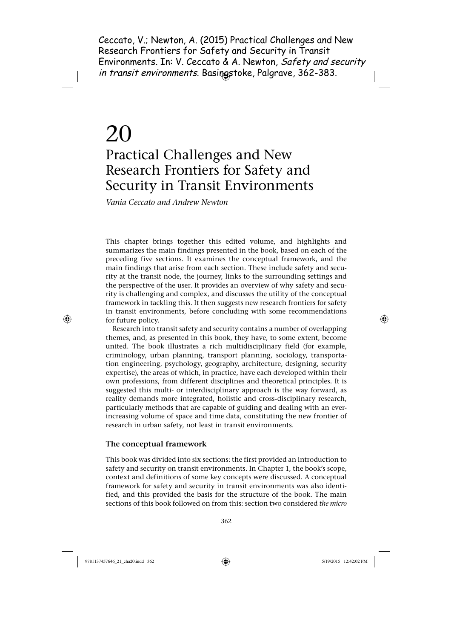Ceccato, V.; Newton, A. (2015) Practical Challenges and New Research Frontiers for Safety and Security in Transit Environments. In: V. Ceccato & A. Newton, Safety and security in transit environments. Basingstoke, Palgrave, 362-383.

# 20

⊕

### Practical Challenges and New Research Frontiers for Safety and Security in Transit Environments

*Vania Ceccato and Andrew Newton* 

This chapter brings together this edited volume, and highlights and summarizes the main findings presented in the book, based on each of the preceding five sections. It examines the conceptual framework, and the main findings that arise from each section. These include safety and security at the transit node, the journey, links to the surrounding settings and the perspective of the user. It provides an overview of why safety and security is challenging and complex, and discusses the utility of the conceptual framework in tackling this. It then suggests new research frontiers for safety in transit environments, before concluding with some recommendations for future policy.

Research into transit safety and security contains a number of overlapping themes, and, as presented in this book, they have, to some extent, become united. The book illustrates a rich multidisciplinary field (for example, criminology, urban planning, transport planning, sociology, transportation engineering, psychology, geography, architecture, designing, security expertise), the areas of which, in practice, have each developed within their own professions, from different disciplines and theoretical principles. It is suggested this multi- or interdisciplinary approach is the way forward, as reality demands more integrated, holistic and cross-disciplinary research, particularly methods that are capable of guiding and dealing with an everincreasing volume of space and time data, constituting the new frontier of research in urban safety, not least in transit environments.

#### **The conceptual framework**

This book was divided into six sections: the first provided an introduction to safety and security on transit environments. In Chapter 1, the book's scope, context and definitions of some key concepts were discussed. A conceptual framework for safety and security in transit environments was also identified, and this provided the basis for the structure of the book. The main sections of this book followed on from this: section two considered *the micro* 

9781137457646\_21\_cha20.indd 362 5/19/2015 12:42:02 PM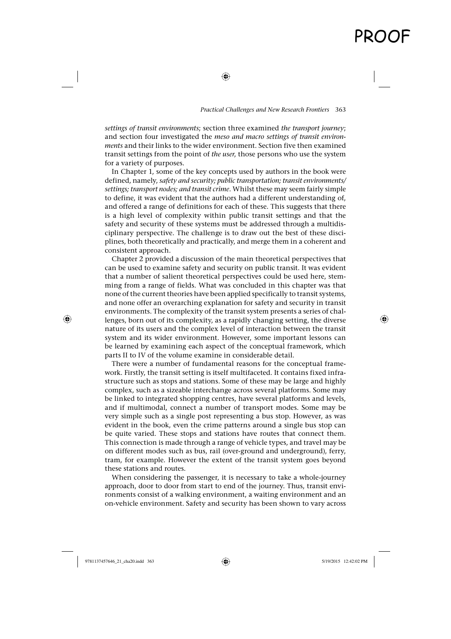#### ♠

#### *Practical Challenges and New Research Frontiers* 363

*settings of transit environments*; section three examined *the transport journey* ; and section four investigated the *meso and macro settings of transit environments* and their links to the wider environment. Section five then examined transit settings from the point of *the user*, those persons who use the system for a variety of purposes.

In Chapter 1, some of the key concepts used by authors in the book were defined, namely, *safety and security; public transportation; transit environments/ settings; transport nodes; and transit crime*. Whilst these may seem fairly simple to define, it was evident that the authors had a different understanding of, and offered a range of definitions for each of these. This suggests that there is a high level of complexity within public transit settings and that the safety and security of these systems must be addressed through a multidisciplinary perspective. The challenge is to draw out the best of these disciplines, both theoretically and practically, and merge them in a coherent and consistent approach.

Chapter 2 provided a discussion of the main theoretical perspectives that can be used to examine safety and security on public transit. It was evident that a number of salient theoretical perspectives could be used here, stemming from a range of fields. What was concluded in this chapter was that none of the current theories have been applied specifically to transit systems, and none offer an overarching explanation for safety and security in transit environments. The complexity of the transit system presents a series of challenges, born out of its complexity, as a rapidly changing setting, the diverse nature of its users and the complex level of interaction between the transit system and its wider environment. However, some important lessons can be learned by examining each aspect of the conceptual framework, which parts II to IV of the volume examine in considerable detail.

There were a number of fundamental reasons for the conceptual framework. Firstly, the transit setting is itself multifaceted. It contains fixed infrastructure such as stops and stations. Some of these may be large and highly complex, such as a sizeable interchange across several platforms. Some may be linked to integrated shopping centres, have several platforms and levels, and if multimodal, connect a number of transport modes. Some may be very simple such as a single post representing a bus stop. However, as was evident in the book, even the crime patterns around a single bus stop can be quite varied. These stops and stations have routes that connect them. This connection is made through a range of vehicle types, and travel may be on different modes such as bus, rail (over-ground and underground), ferry, tram, for example. However the extent of the transit system goes beyond these stations and routes.

When considering the passenger, it is necessary to take a whole-journey approach, door to door from start to end of the journey. Thus, transit environments consist of a walking environment, a waiting environment and an on-vehicle environment. Safety and security has been shown to vary across

⊕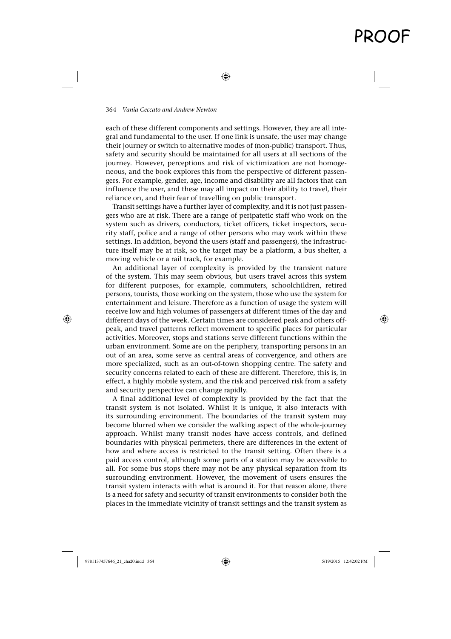⊕

♠

#### 364 *Vania Ceccato and Andrew Newton*

each of these different components and settings. However, they are all integral and fundamental to the user. If one link is unsafe, the user may change their journey or switch to alternative modes of (non-public) transport. Thus, safety and security should be maintained for all users at all sections of the journey. However, perceptions and risk of victimization are not homogeneous, and the book explores this from the perspective of different passengers. For example, gender, age, income and disability are all factors that can influence the user, and these may all impact on their ability to travel, their reliance on, and their fear of travelling on public transport.

Transit settings have a further layer of complexity, and it is not just passengers who are at risk. There are a range of peripatetic staff who work on the system such as drivers, conductors, ticket officers, ticket inspectors, security staff, police and a range of other persons who may work within these settings. In addition, beyond the users (staff and passengers), the infrastructure itself may be at risk, so the target may be a platform, a bus shelter, a moving vehicle or a rail track, for example.

An additional layer of complexity is provided by the transient nature of the system. This may seem obvious, but users travel across this system for different purposes, for example, commuters, schoolchildren, retired persons, tourists, those working on the system, those who use the system for entertainment and leisure. Therefore as a function of usage the system will receive low and high volumes of passengers at different times of the day and different days of the week. Certain times are considered peak and others offpeak, and travel patterns reflect movement to specific places for particular activities. Moreover, stops and stations serve different functions within the urban environment. Some are on the periphery, transporting persons in an out of an area, some serve as central areas of convergence, and others are more specialized, such as an out-of-town shopping centre. The safety and security concerns related to each of these are different. Therefore, this is, in effect, a highly mobile system, and the risk and perceived risk from a safety and security perspective can change rapidly.

A final additional level of complexity is provided by the fact that the transit system is not isolated. Whilst it is unique, it also interacts with its surrounding environment. The boundaries of the transit system may become blurred when we consider the walking aspect of the whole-journey approach. Whilst many transit nodes have access controls, and defined boundaries with physical perimeters, there are differences in the extent of how and where access is restricted to the transit setting. Often there is a paid access control, although some parts of a station may be accessible to all. For some bus stops there may not be any physical separation from its surrounding environment. However, the movement of users ensures the transit system interacts with what is around it. For that reason alone, there is a need for safety and security of transit environments to consider both the places in the immediate vicinity of transit settings and the transit system as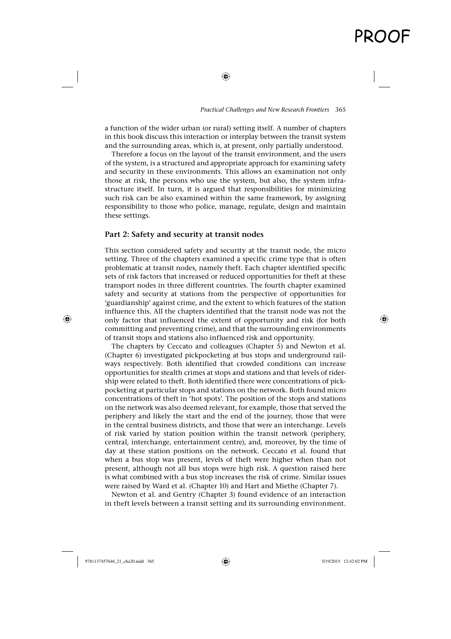♠

#### *Practical Challenges and New Research Frontiers* 365

a function of the wider urban (or rural) setting itself. A number of chapters in this book discuss this interaction or interplay between the transit system and the surrounding areas, which is, at present, only partially understood.

Therefore a focus on the layout of the transit environment, and the users of the system, is a structured and appropriate approach for examining safety and security in these environments. This allows an examination not only those at risk, the persons who use the system, but also, the system infrastructure itself. In turn, it is argued that responsibilities for minimizing such risk can be also examined within the same framework, by assigning responsibility to those who police, manage, regulate, design and maintain these settings.

#### **Part 2: Safety and security at transit nodes**

This section considered safety and security at the transit node, the micro setting. Three of the chapters examined a specific crime type that is often problematic at transit nodes, namely theft. Each chapter identified specific sets of risk factors that increased or reduced opportunities for theft at these transport nodes in three different countries. The fourth chapter examined safety and security at stations from the perspective of opportunities for 'guardianship' against crime, and the extent to which features of the station influence this. All the chapters identified that the transit node was not the only factor that influenced the extent of opportunity and risk (for both committing and preventing crime), and that the surrounding environments of transit stops and stations also influenced risk and opportunity.

The chapters by Ceccato and colleagues (Chapter 5) and Newton et al. (Chapter 6) investigated pickpocketing at bus stops and underground railways respectively. Both identified that crowded conditions can increase opportunities for stealth crimes at stops and stations and that levels of ridership were related to theft. Both identified there were concentrations of pickpocketing at particular stops and stations on the network. Both found micro concentrations of theft in 'hot spots'. The position of the stops and stations on the network was also deemed relevant, for example, those that served the periphery and likely the start and the end of the journey, those that were in the central business districts, and those that were an interchange. Levels of risk varied by station position within the transit network (periphery, central, interchange, entertainment centre), and, moreover, by the time of day at these station positions on the network. Ceccato et al. found that when a bus stop was present, levels of theft were higher when than not present, although not all bus stops were high risk. A question raised here is what combined with a bus stop increases the risk of crime. Similar issues were raised by Ward et al. (Chapter 10) and Hart and Miethe (Chapter 7).

Newton et al. and Gentry (Chapter 3) found evidence of an interaction in theft levels between a transit setting and its surrounding environment.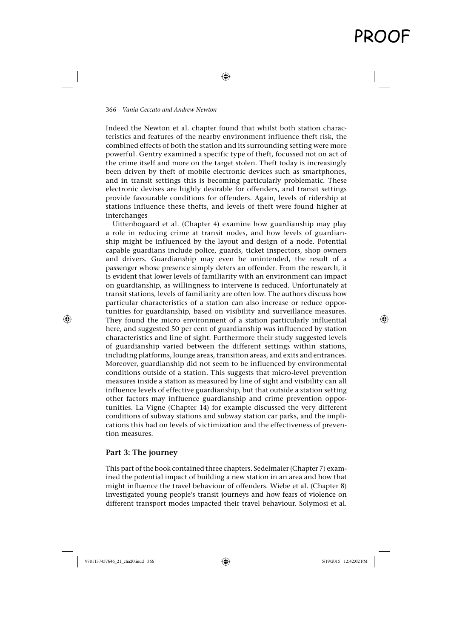#### 366 *Vania Ceccato and Andrew Newton*

Indeed the Newton et al. chapter found that whilst both station characteristics and features of the nearby environment influence theft risk, the combined effects of both the station and its surrounding setting were more powerful. Gentry examined a specific type of theft, focussed not on act of the crime itself and more on the target stolen. Theft today is increasingly been driven by theft of mobile electronic devices such as smartphones, and in transit settings this is becoming particularly problematic. These electronic devises are highly desirable for offenders, and transit settings provide favourable conditions for offenders. Again, levels of ridership at stations influence these thefts, and levels of theft were found higher at interchanges

♠

Uittenbogaard et al. (Chapter 4) examine how guardianship may play a role in reducing crime at transit nodes, and how levels of guardianship might be influenced by the layout and design of a node. Potential capable guardians include police, guards, ticket inspectors, shop owners and drivers. Guardianship may even be unintended, the result of a passenger whose presence simply deters an offender. From the research, it is evident that lower levels of familiarity with an environment can impact on guardianship, as willingness to intervene is reduced. Unfortunately at transit stations, levels of familiarity are often low. The authors discuss how particular characteristics of a station can also increase or reduce opportunities for guardianship, based on visibility and surveillance measures. They found the micro environment of a station particularly influential here, and suggested 50 per cent of guardianship was influenced by station characteristics and line of sight. Furthermore their study suggested levels of guardianship varied between the different settings within stations, including platforms, lounge areas, transition areas, and exits and entrances. Moreover, guardianship did not seem to be influenced by environmental conditions outside of a station. This suggests that micro-level prevention measures inside a station as measured by line of sight and visibility can all influence levels of effective guardianship, but that outside a station setting other factors may influence guardianship and crime prevention opportunities. La Vigne (Chapter 14) for example discussed the very different conditions of subway stations and subway station car parks, and the implications this had on levels of victimization and the effectiveness of prevention measures.

#### **Part 3: The journey**

⊕

This part of the book contained three chapters. Sedelmaier (Chapter 7) examined the potential impact of building a new station in an area and how that might influence the travel behaviour of offenders. Wiebe et al. (Chapter 8) investigated young people's transit journeys and how fears of violence on different transport modes impacted their travel behaviour. Solymosi et al.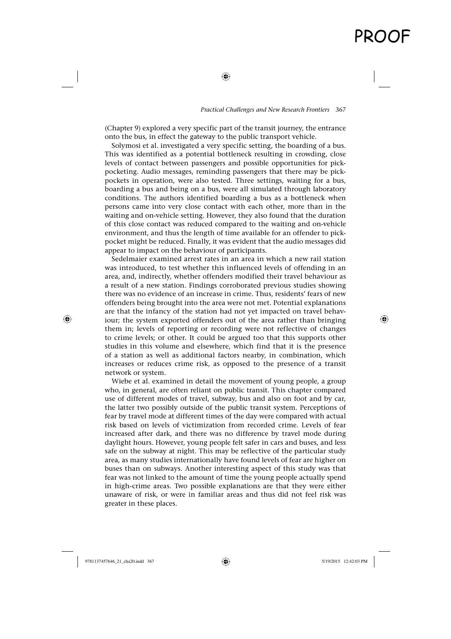♠

#### *Practical Challenges and New Research Frontiers* 367

(Chapter 9) explored a very specific part of the transit journey, the entrance onto the bus, in effect the gateway to the public transport vehicle.

Solymosi et al. investigated a very specific setting, the boarding of a bus. This was identified as a potential bottleneck resulting in crowding, close levels of contact between passengers and possible opportunities for pickpocketing. Audio messages, reminding passengers that there may be pickpockets in operation, were also tested. Three settings, waiting for a bus, boarding a bus and being on a bus, were all simulated through laboratory conditions. The authors identified boarding a bus as a bottleneck when persons came into very close contact with each other, more than in the waiting and on-vehicle setting. However, they also found that the duration of this close contact was reduced compared to the waiting and on-vehicle environment, and thus the length of time available for an offender to pickpocket might be reduced. Finally, it was evident that the audio messages did appear to impact on the behaviour of participants.

Sedelmaier examined arrest rates in an area in which a new rail station was introduced, to test whether this influenced levels of offending in an area, and, indirectly, whether offenders modified their travel behaviour as a result of a new station. Findings corroborated previous studies showing there was no evidence of an increase in crime. Thus, residents' fears of new offenders being brought into the area were not met. Potential explanations are that the infancy of the station had not yet impacted on travel behaviour; the system exported offenders out of the area rather than bringing them in; levels of reporting or recording were not reflective of changes to crime levels; or other. It could be argued too that this supports other studies in this volume and elsewhere, which find that it is the presence of a station as well as additional factors nearby, in combination, which increases or reduces crime risk, as opposed to the presence of a transit network or system.

Wiebe et al. examined in detail the movement of young people, a group who, in general, are often reliant on public transit. This chapter compared use of different modes of travel, subway, bus and also on foot and by car, the latter two possibly outside of the public transit system. Perceptions of fear by travel mode at different times of the day were compared with actual risk based on levels of victimization from recorded crime. Levels of fear increased after dark, and there was no difference by travel mode during daylight hours. However, young people felt safer in cars and buses, and less safe on the subway at night. This may be reflective of the particular study area, as many studies internationally have found levels of fear are higher on buses than on subways. Another interesting aspect of this study was that fear was not linked to the amount of time the young people actually spend in high-crime areas. Two possible explanations are that they were either unaware of risk, or were in familiar areas and thus did not feel risk was greater in these places.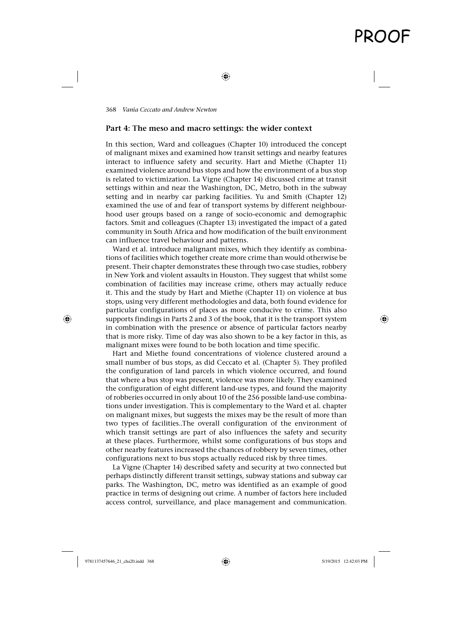♠

368 *Vania Ceccato and Andrew Newton*

#### **Part 4: The meso and macro settings: the wider context**

In this section, Ward and colleagues (Chapter 10) introduced the concept of malignant mixes and examined how transit settings and nearby features interact to influence safety and security. Hart and Miethe (Chapter 11) examined violence around bus stops and how the environment of a bus stop is related to victimization. La Vigne (Chapter 14) discussed crime at transit settings within and near the Washington, DC, Metro, both in the subway setting and in nearby car parking facilities. Yu and Smith (Chapter 12) examined the use of and fear of transport systems by different neighbourhood user groups based on a range of socio-economic and demographic factors. Smit and colleagues (Chapter 13) investigated the impact of a gated community in South Africa and how modification of the built environment can influence travel behaviour and patterns.

Ward et al. introduce malignant mixes, which they identify as combinations of facilities which together create more crime than would otherwise be present. Their chapter demonstrates these through two case studies, robbery in New York and violent assaults in Houston. They suggest that whilst some combination of facilities may increase crime, others may actually reduce it. This and the study by Hart and Miethe (Chapter 11) on violence at bus stops, using very different methodologies and data, both found evidence for particular configurations of places as more conducive to crime. This also supports findings in Parts 2 and 3 of the book, that it is the transport system in combination with the presence or absence of particular factors nearby that is more risky. Time of day was also shown to be a key factor in this, as malignant mixes were found to be both location and time specific.

Hart and Miethe found concentrations of violence clustered around a small number of bus stops, as did Ceccato et al. (Chapter 5). They profiled the configuration of land parcels in which violence occurred, and found that where a bus stop was present, violence was more likely. They examined the configuration of eight different land-use types, and found the majority of robberies occurred in only about 10 of the 256 possible land-use combinations under investigation. This is complementary to the Ward et al. chapter on malignant mixes, but suggests the mixes may be the result of more than two types of facilities..The overall configuration of the environment of which transit settings are part of also influences the safety and security at these places. Furthermore, whilst some configurations of bus stops and other nearby features increased the chances of robbery by seven times, other configurations next to bus stops actually reduced risk by three times.

La Vigne (Chapter 14) described safety and security at two connected but perhaps distinctly different transit settings, subway stations and subway car parks. The Washington, DC, metro was identified as an example of good practice in terms of designing out crime. A number of factors here included access control, surveillance, and place management and communication.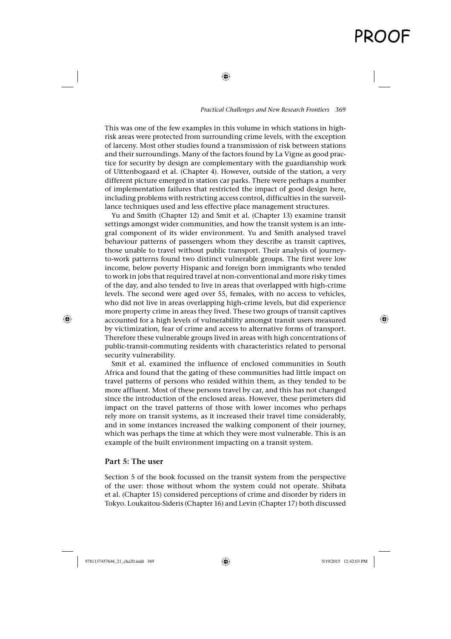⊕

♠

#### *Practical Challenges and New Research Frontiers* 369

This was one of the few examples in this volume in which stations in highrisk areas were protected from surrounding crime levels, with the exception of larceny. Most other studies found a transmission of risk between stations and their surroundings. Many of the factors found by La Vigne as good practice for security by design are complementary with the guardianship work of Uittenbogaard et al. (Chapter 4). However, outside of the station, a very different picture emerged in station car parks. There were perhaps a number of implementation failures that restricted the impact of good design here, including problems with restricting access control, difficulties in the surveillance techniques used and less effective place management structures.

Yu and Smith (Chapter 12) and Smit et al. (Chapter 13) examine transit settings amongst wider communities, and how the transit system is an integral component of its wider environment. Yu and Smith analysed travel behaviour patterns of passengers whom they describe as transit captives, those unable to travel without public transport. Their analysis of journeyto-work patterns found two distinct vulnerable groups. The first were low income, below poverty Hispanic and foreign born immigrants who tended to work in jobs that required travel at non-conventional and more risky times of the day, and also tended to live in areas that overlapped with high-crime levels. The second were aged over 55, females, with no access to vehicles, who did not live in areas overlapping high-crime levels, but did experience more property crime in areas they lived. These two groups of transit captives accounted for a high levels of vulnerability amongst transit users measured by victimization, fear of crime and access to alternative forms of transport. Therefore these vulnerable groups lived in areas with high concentrations of public-transit-commuting residents with characteristics related to personal security vulnerability.

Smit et al. examined the influence of enclosed communities in South Africa and found that the gating of these communities had little impact on travel patterns of persons who resided within them, as they tended to be more affluent. Most of these persons travel by car, and this has not changed since the introduction of the enclosed areas. However, these perimeters did impact on the travel patterns of those with lower incomes who perhaps rely more on transit systems, as it increased their travel time considerably, and in some instances increased the walking component of their journey, which was perhaps the time at which they were most vulnerable. This is an example of the built environment impacting on a transit system.

#### **Part 5: The user**

⊕

Section 5 of the book focussed on the transit system from the perspective of the user: those without whom the system could not operate. Shibata et al. (Chapter 15) considered perceptions of crime and disorder by riders in Tokyo. Loukaitou-Sideris (Chapter 16) and Levin (Chapter 17) both discussed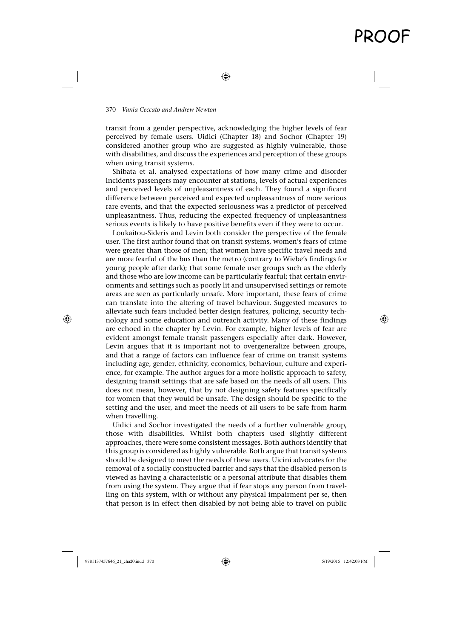⊕

#### 370 *Vania Ceccato and Andrew Newton*

transit from a gender perspective, acknowledging the higher levels of fear perceived by female users. Uidici (Chapter 18) and Sochor (Chapter 19) considered another group who are suggested as highly vulnerable, those with disabilities, and discuss the experiences and perception of these groups when using transit systems.

♠

Shibata et al. analysed expectations of how many crime and disorder incidents passengers may encounter at stations, levels of actual experiences and perceived levels of unpleasantness of each. They found a significant difference between perceived and expected unpleasantness of more serious rare events, and that the expected seriousness was a predictor of perceived unpleasantness. Thus, reducing the expected frequency of unpleasantness serious events is likely to have positive benefits even if they were to occur.

Loukaitou-Sideris and Levin both consider the perspective of the female user. The first author found that on transit systems, women's fears of crime were greater than those of men; that women have specific travel needs and are more fearful of the bus than the metro (contrary to Wiebe's findings for young people after dark); that some female user groups such as the elderly and those who are low income can be particularly fearful; that certain environments and settings such as poorly lit and unsupervised settings or remote areas are seen as particularly unsafe. More important, these fears of crime can translate into the altering of travel behaviour. Suggested measures to alleviate such fears included better design features, policing, security technology and some education and outreach activity. Many of these findings are echoed in the chapter by Levin. For example, higher levels of fear are evident amongst female transit passengers especially after dark. However, Levin argues that it is important not to overgeneralize between groups, and that a range of factors can influence fear of crime on transit systems including age, gender, ethnicity, economics, behaviour, culture and experience, for example. The author argues for a more holistic approach to safety, designing transit settings that are safe based on the needs of all users. This does not mean, however, that by not designing safety features specifically for women that they would be unsafe. The design should be specific to the setting and the user, and meet the needs of all users to be safe from harm when travelling.

Uidici and Sochor investigated the needs of a further vulnerable group, those with disabilities. Whilst both chapters used slightly different approaches, there were some consistent messages. Both authors identify that this group is considered as highly vulnerable. Both argue that transit systems should be designed to meet the needs of these users. Uicini advocates for the removal of a socially constructed barrier and says that the disabled person is viewed as having a characteristic or a personal attribute that disables them from using the system. They argue that if fear stops any person from travelling on this system, with or without any physical impairment per se, then that person is in effect then disabled by not being able to travel on public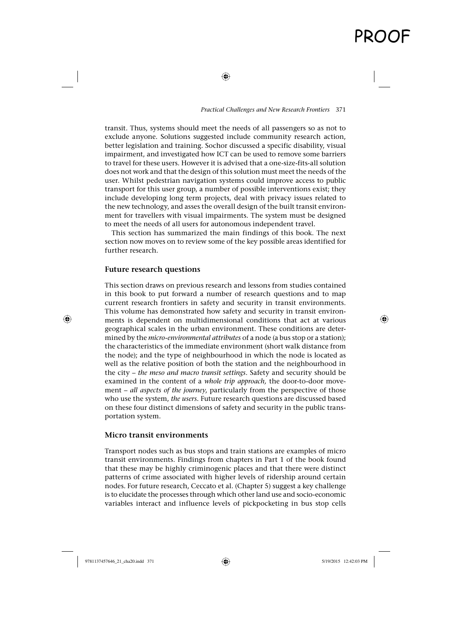⊕

♠

#### *Practical Challenges and New Research Frontiers* 371

transit. Thus, systems should meet the needs of all passengers so as not to exclude anyone. Solutions suggested include community research action, better legislation and training. Sochor discussed a specific disability, visual impairment, and investigated how ICT can be used to remove some barriers to travel for these users. However it is advised that a one-size-fits-all solution does not work and that the design of this solution must meet the needs of the user. Whilst pedestrian navigation systems could improve access to public transport for this user group, a number of possible interventions exist; they include developing long term projects, deal with privacy issues related to the new technology, and asses the overall design of the built transit environment for travellers with visual impairments. The system must be designed to meet the needs of all users for autonomous independent travel.

This section has summarized the main findings of this book. The next section now moves on to review some of the key possible areas identified for further research.

#### **Future research questions**

⊕

This section draws on previous research and lessons from studies contained in this book to put forward a number of research questions and to map current research frontiers in safety and security in transit environments. This volume has demonstrated how safety and security in transit environments is dependent on multidimensional conditions that act at various geographical scales in the urban environment. These conditions are determined by the *micro-environmental attributes* of a node (a bus stop or a station); the characteristics of the immediate environment (short walk distance from the node); and the type of neighbourhood in which the node is located as well as the relative position of both the station and the neighbourhood in the city – *the meso and macro transit settings*. Safety and security should be examined in the content of a *whole trip approach,* the door-to-door movement – *all aspects of the journey*, particularly from the perspective of those who use the system, *the users*. Future research questions are discussed based on these four distinct dimensions of safety and security in the public transportation system.

#### **Micro transit environments**

Transport nodes such as bus stops and train stations are examples of micro transit environments. Findings from chapters in Part 1 of the book found that these may be highly criminogenic places and that there were distinct patterns of crime associated with higher levels of ridership around certain nodes. For future research, Ceccato et al. (Chapter 5) suggest a key challenge is to elucidate the processes through which other land use and socio-economic variables interact and influence levels of pickpocketing in bus stop cells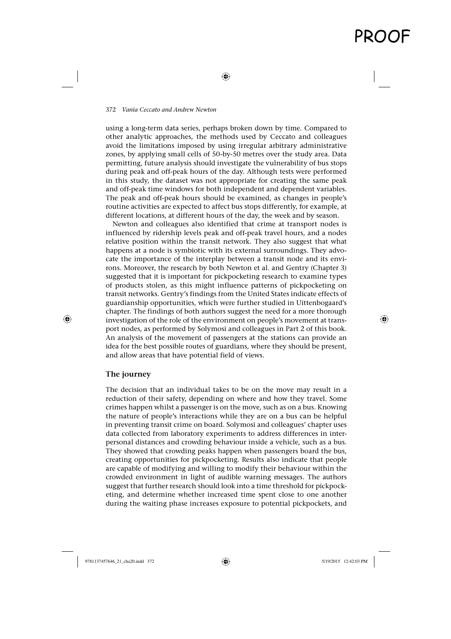#### 372 *Vania Ceccato and Andrew Newton*

using a long-term data series, perhaps broken down by time. Compared to other analytic approaches, the methods used by Ceccato and colleagues avoid the limitations imposed by using irregular arbitrary administrative zones, by applying small cells of 50-by-50 metres over the study area. Data permitting, future analysis should investigate the vulnerability of bus stops during peak and off-peak hours of the day. Although tests were performed in this study, the dataset was not appropriate for creating the same peak and off-peak time windows for both independent and dependent variables. The peak and off-peak hours should be examined, as changes in people's routine activities are expected to affect bus stops differently, for example, at different locations, at different hours of the day, the week and by season.

♠

Newton and colleagues also identified that crime at transport nodes is influenced by ridership levels peak and off-peak travel hours, and a nodes relative position within the transit network. They also suggest that what happens at a node is symbiotic with its external surroundings. They advocate the importance of the interplay between a transit node and its environs. Moreover, the research by both Newton et al. and Gentry (Chapter 3) suggested that it is important for pickpocketing research to examine types of products stolen, as this might influence patterns of pickpocketing on transit networks. Gentry's findings from the United States indicate effects of guardianship opportunities, which were further studied in Uittenbogaard's chapter. The findings of both authors suggest the need for a more thorough investigation of the role of the environment on people's movement at transport nodes, as performed by Solymosi and colleagues in Part 2 of this book. An analysis of the movement of passengers at the stations can provide an idea for the best possible routes of guardians, where they should be present, and allow areas that have potential field of views.

#### **The journey**

⊕

The decision that an individual takes to be on the move may result in a reduction of their safety, depending on where and how they travel. Some crimes happen whilst a passenger is on the move, such as on a bus. Knowing the nature of people's interactions while they are on a bus can be helpful in preventing transit crime on board. Solymosi and colleagues' chapter uses data collected from laboratory experiments to address differences in interpersonal distances and crowding behaviour inside a vehicle, such as a bus. They showed that crowding peaks happen when passengers board the bus, creating opportunities for pickpocketing. Results also indicate that people are capable of modifying and willing to modify their behaviour within the crowded environment in light of audible warning messages. The authors suggest that further research should look into a time threshold for pickpocketing, and determine whether increased time spent close to one another during the waiting phase increases exposure to potential pickpockets, and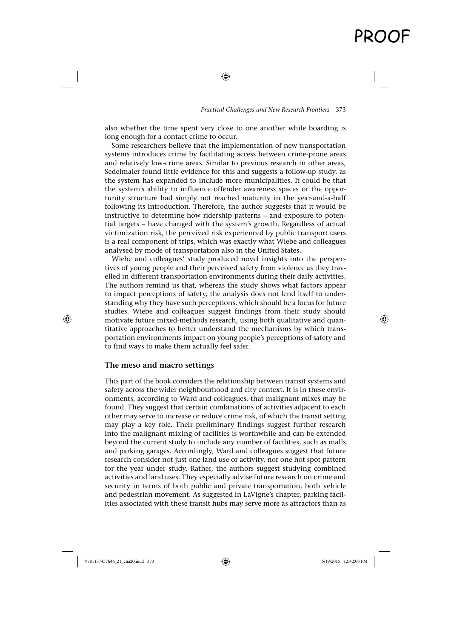⊕

♠

#### *Practical Challenges and New Research Frontiers* 373

also whether the time spent very close to one another while boarding is long enough for a contact crime to occur.

Some researchers believe that the implementation of new transportation systems introduces crime by facilitating access between crime-prone areas and relatively low-crime areas. Similar to previous research in other areas, Sedelmaier found little evidence for this and suggests a follow-up study, as the system has expanded to include more municipalities. It could be that the system's ability to influence offender awareness spaces or the opportunity structure had simply not reached maturity in the year-and-a-half following its introduction. Therefore, the author suggests that it would be instructive to determine how ridership patterns – and exposure to potential targets – have changed with the system's growth. Regardless of actual victimization risk, the perceived risk experienced by public transport users is a real component of trips, which was exactly what Wiebe and colleagues analysed by mode of transportation also in the United States.

Wiebe and colleagues' study produced novel insights into the perspectives of young people and their perceived safety from violence as they travelled in different transportation environments during their daily activities. The authors remind us that, whereas the study shows what factors appear to impact perceptions of safety, the analysis does not lend itself to understanding why they have such perceptions, which should be a focus for future studies. Wiebe and colleagues suggest findings from their study should motivate future mixed-methods research, using both qualitative and quantitative approaches to better understand the mechanisms by which transportation environments impact on young people's perceptions of safety and to find ways to make them actually feel safer.

#### **The meso and macro settings**

This part of the book considers the relationship between transit systems and safety across the wider neighbourhood and city context. It is in these environments, according to Ward and colleagues, that malignant mixes may be found. They suggest that certain combinations of activities adjacent to each other may serve to increase or reduce crime risk, of which the transit setting may play a key role. Their preliminary findings suggest further research into the malignant mixing of facilities is worthwhile and can be extended beyond the current study to include any number of facilities, such as malls and parking garages. Accordingly, Ward and colleagues suggest that future research consider not just one land use or activity, nor one hot spot pattern for the year under study. Rather, the authors suggest studying combined activities and land uses. They especially advise future research on crime and security in terms of both public and private transportation, both vehicle and pedestrian movement. As suggested in LaVigne's chapter, parking facilities associated with these transit hubs may serve more as attractors than as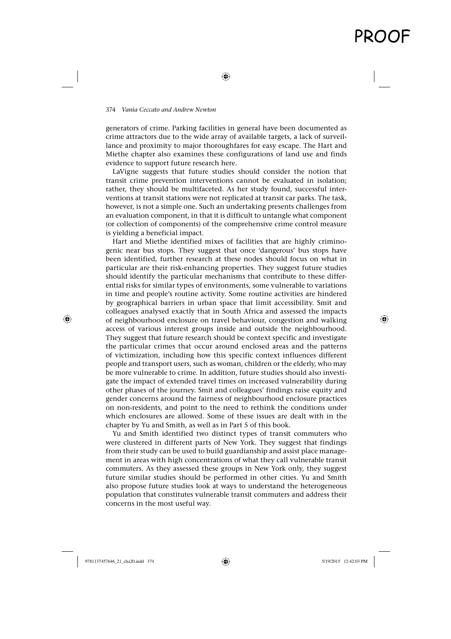⊕

♠

#### 374 *Vania Ceccato and Andrew Newton*

generators of crime. Parking facilities in general have been documented as crime attractors due to the wide array of available targets, a lack of surveillance and proximity to major thoroughfares for easy escape. The Hart and Miethe chapter also examines these configurations of land use and finds evidence to support future research here.

LaVigne suggests that future studies should consider the notion that transit crime prevention interventions cannot be evaluated in isolation; rather, they should be multifaceted. As her study found, successful interventions at transit stations were not replicated at transit car parks. The task, however, is not a simple one. Such an undertaking presents challenges from an evaluation component, in that it is difficult to untangle what component (or collection of components) of the comprehensive crime control measure is yielding a beneficial impact.

Hart and Miethe identified mixes of facilities that are highly criminogenic near bus stops. They suggest that once 'dangerous' bus stops have been identified, further research at these nodes should focus on what in particular are their risk-enhancing properties. They suggest future studies should identify the particular mechanisms that contribute to these differential risks for similar types of environments, some vulnerable to variations in time and people's routine activity. Some routine activities are hindered by geographical barriers in urban space that limit accessibility. Smit and colleagues analysed exactly that in South Africa and assessed the impacts of neighbourhood enclosure on travel behaviour, congestion and walking access of various interest groups inside and outside the neighbourhood. They suggest that future research should be context specific and investigate the particular crimes that occur around enclosed areas and the patterns of victimization, including how this specific context influences different people and transport users, such as woman, children or the elderly, who may be more vulnerable to crime. In addition, future studies should also investigate the impact of extended travel times on increased vulnerability during other phases of the journey. Smit and colleagues' findings raise equity and gender concerns around the fairness of neighbourhood enclosure practices on non-residents, and point to the need to rethink the conditions under which enclosures are allowed. Some of these issues are dealt with in the chapter by Yu and Smith, as well as in Part 5 of this book.

Yu and Smith identified two distinct types of transit commuters who were clustered in different parts of New York. They suggest that findings from their study can be used to build guardianship and assist place management in areas with high concentrations of what they call vulnerable transit commuters. As they assessed these groups in New York only, they suggest future similar studies should be performed in other cities. Yu and Smith also propose future studies look at ways to understand the heterogeneous population that constitutes vulnerable transit commuters and address their concerns in the most useful way.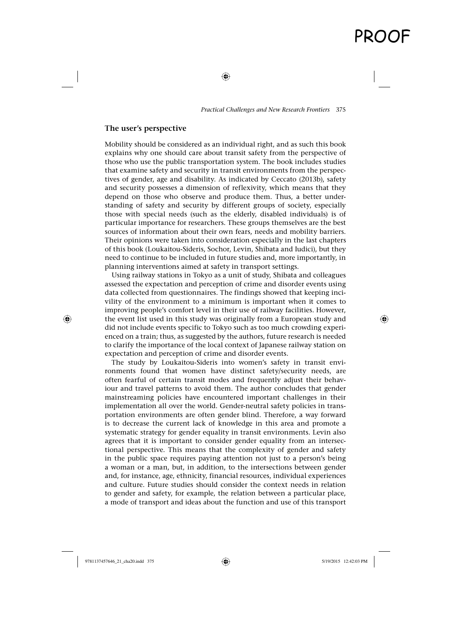⊕

♠

#### **The user's perspective**

Mobility should be considered as an individual right, and as such this book explains why one should care about transit safety from the perspective of those who use the public transportation system. The book includes studies that examine safety and security in transit environments from the perspectives of gender, age and disability. As indicated by Ceccato (2013b), safety and security possesses a dimension of reflexivity, which means that they depend on those who observe and produce them. Thus, a better understanding of safety and security by different groups of society, especially those with special needs (such as the elderly, disabled individuals) is of particular importance for researchers. These groups themselves are the best sources of information about their own fears, needs and mobility barriers. Their opinions were taken into consideration especially in the last chapters of this book (Loukaitou-Sideris, Sochor, Levin, Shibata and Iudici), but they need to continue to be included in future studies and, more importantly, in planning interventions aimed at safety in transport settings.

Using railway stations in Tokyo as a unit of study, Shibata and colleagues assessed the expectation and perception of crime and disorder events using data collected from questionnaires. The findings showed that keeping incivility of the environment to a minimum is important when it comes to improving people's comfort level in their use of railway facilities. However, the event list used in this study was originally from a European study and did not include events specific to Tokyo such as too much crowding experienced on a train; thus, as suggested by the authors, future research is needed to clarify the importance of the local context of Japanese railway station on expectation and perception of crime and disorder events.

The study by Loukaitou-Sideris into women's safety in transit environments found that women have distinct safety/security needs, are often fearful of certain transit modes and frequently adjust their behaviour and travel patterns to avoid them. The author concludes that gender mainstreaming policies have encountered important challenges in their implementation all over the world. Gender-neutral safety policies in transportation environments are often gender blind. Therefore, a way forward is to decrease the current lack of knowledge in this area and promote a systematic strategy for gender equality in transit environments. Levin also agrees that it is important to consider gender equality from an intersectional perspective. This means that the complexity of gender and safety in the public space requires paying attention not just to a person's being a woman or a man, but, in addition, to the intersections between gender and, for instance, age, ethnicity, financial resources, individual experiences and culture. Future studies should consider the context needs in relation to gender and safety, for example, the relation between a particular place, a mode of transport and ideas about the function and use of this transport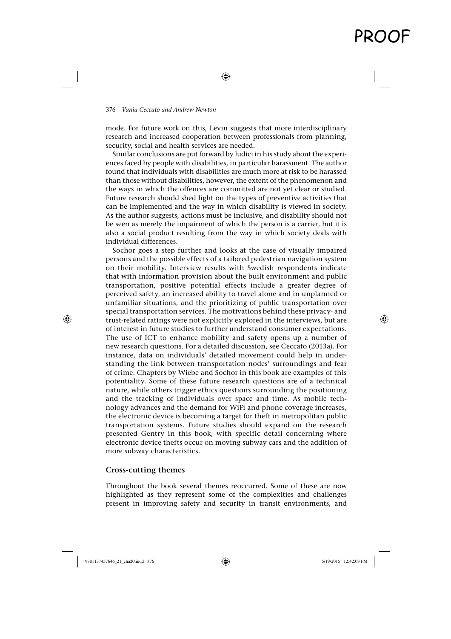⊕

♠

#### 376 *Vania Ceccato and Andrew Newton*

mode. For future work on this, Levin suggests that more interdisciplinary research and increased cooperation between professionals from planning, security, social and health services are needed.

Similar conclusions are put forward by Iudici in his study about the experiences faced by people with disabilities, in particular harassment. The author found that individuals with disabilities are much more at risk to be harassed than those without disabilities, however, the extent of the phenomenon and the ways in which the offences are committed are not yet clear or studied. Future research should shed light on the types of preventive activities that can be implemented and the way in which disability is viewed in society. As the author suggests, actions must be inclusive, and disability should not be seen as merely the impairment of which the person is a carrier, but it is also a social product resulting from the way in which society deals with individual differences.

Sochor goes a step further and looks at the case of visually impaired persons and the possible effects of a tailored pedestrian navigation system on their mobility. Interview results with Swedish respondents indicate that with information provision about the built environment and public transportation, positive potential effects include a greater degree of perceived safety, an increased ability to travel alone and in unplanned or unfamiliar situations, and the prioritizing of public transportation over special transportation services. The motivations behind these privacy- and trust-related ratings were not explicitly explored in the interviews, but are of interest in future studies to further understand consumer expectations. The use of ICT to enhance mobility and safety opens up a number of new research questions. For a detailed discussion, see Ceccato (2013a). For instance, data on individuals' detailed movement could help in understanding the link between transportation nodes' surroundings and fear of crime. Chapters by Wiebe and Sochor in this book are examples of this potentiality. Some of these future research questions are of a technical nature, while others trigger ethics questions surrounding the positioning and the tracking of individuals over space and time. As mobile technology advances and the demand for WiFi and phone coverage increases, the electronic device is becoming a target for theft in metropolitan public transportation systems. Future studies should expand on the research presented Gentry in this book, with specific detail concerning where electronic device thefts occur on moving subway cars and the addition of more subway characteristics.

#### **Cross-cutting themes**

Throughout the book several themes reoccurred. Some of these are now highlighted as they represent some of the complexities and challenges present in improving safety and security in transit environments, and

9781137457646\_21\_cha20.indd 376 5/19/2015 12:42:03 PM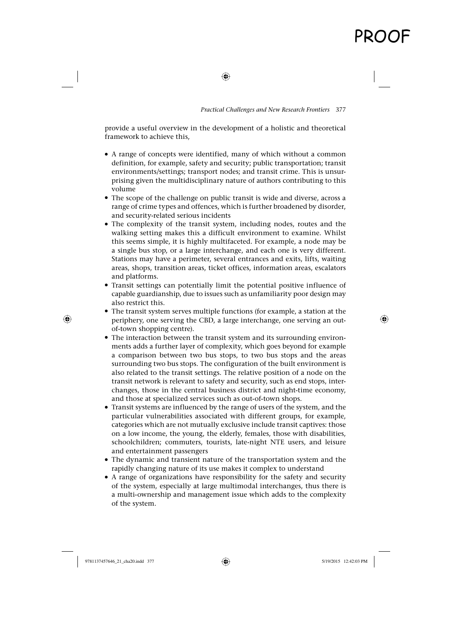♠

#### *Practical Challenges and New Research Frontiers* 377

provide a useful overview in the development of a holistic and theoretical framework to achieve this,

- A range of concepts were identified, many of which without a common definition, for example, safety and security; public transportation; transit environments/settings; transport nodes; and transit crime. This is unsurprising given the multidisciplinary nature of authors contributing to this volume
- The scope of the challenge on public transit is wide and diverse, across a range of crime types and offences, which is further broadened by disorder, and security-related serious incidents
- The complexity of the transit system, including nodes, routes and the walking setting makes this a difficult environment to examine. Whilst this seems simple, it is highly multifaceted. For example, a node may be a single bus stop, or a large interchange, and each one is very different. Stations may have a perimeter, several entrances and exits, lifts, waiting areas, shops, transition areas, ticket offices, information areas, escalators and platforms.
- Transit settings can potentially limit the potential positive influence of capable guardianship, due to issues such as unfamiliarity poor design may also restrict this.
- The transit system serves multiple functions (for example, a station at the periphery, one serving the CBD, a large interchange, one serving an outof-town shopping centre).
- The interaction between the transit system and its surrounding environments adds a further layer of complexity, which goes beyond for example a comparison between two bus stops, to two bus stops and the areas surrounding two bus stops. The configuration of the built environment is also related to the transit settings. The relative position of a node on the transit network is relevant to safety and security, such as end stops, interchanges, those in the central business district and night-time economy, and those at specialized services such as out-of-town shops.
- Transit systems are influenced by the range of users of the system, and the particular vulnerabilities associated with different groups, for example, categories which are not mutually exclusive include transit captives: those on a low income, the young, the elderly, females, those with disabilities, schoolchildren; commuters, tourists, late-night NTE users, and leisure and entertainment passengers
- The dynamic and transient nature of the transportation system and the rapidly changing nature of its use makes it complex to understand
- A range of organizations have responsibility for the safety and security of the system, especially at large multimodal interchanges, thus there is a multi-ownership and management issue which adds to the complexity of the system.

⊕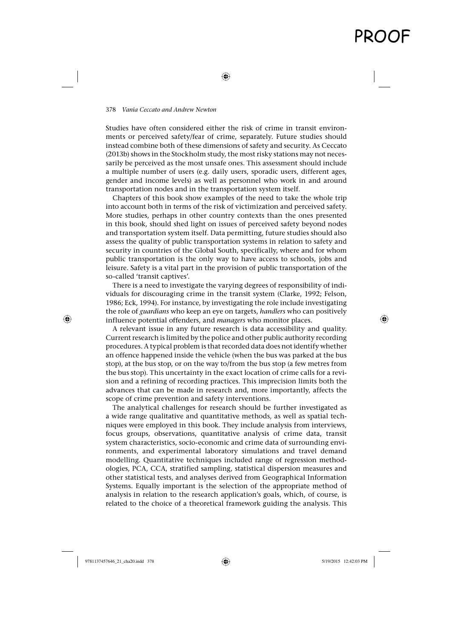⊕

♠

#### 378 *Vania Ceccato and Andrew Newton*

Studies have often considered either the risk of crime in transit environments or perceived safety/fear of crime, separately. Future studies should instead combine both of these dimensions of safety and security. As Ceccato (2013b) shows in the Stockholm study, the most risky stations may not necessarily be perceived as the most unsafe ones. This assessment should include a multiple number of users (e.g. daily users, sporadic users, different ages, gender and income levels) as well as personnel who work in and around transportation nodes and in the transportation system itself.

Chapters of this book show examples of the need to take the whole trip into account both in terms of the risk of victimization and perceived safety. More studies, perhaps in other country contexts than the ones presented in this book, should shed light on issues of perceived safety beyond nodes and transportation system itself. Data permitting, future studies should also assess the quality of public transportation systems in relation to safety and security in countries of the Global South, specifically, where and for whom public transportation is the only way to have access to schools, jobs and leisure. Safety is a vital part in the provision of public transportation of the so-called 'transit captives'.

There is a need to investigate the varying degrees of responsibility of individuals for discouraging crime in the transit system (Clarke, 1992; Felson, 1986; Eck, 1994). For instance, by investigating the role include investigating the role of *guardians* who keep an eye on targets, *handlers* who can positively influence potential offenders, and *managers* who monitor places.

A relevant issue in any future research is data accessibility and quality. Current research is limited by the police and other public authority recording procedures. A typical problem is that recorded data does not identify whether an offence happened inside the vehicle (when the bus was parked at the bus stop), at the bus stop, or on the way to/from the bus stop (a few metres from the bus stop). This uncertainty in the exact location of crime calls for a revision and a refining of recording practices. This imprecision limits both the advances that can be made in research and, more importantly, affects the scope of crime prevention and safety interventions.

The analytical challenges for research should be further investigated as a wide range qualitative and quantitative methods, as well as spatial techniques were employed in this book. They include analysis from interviews, focus groups, observations, quantitative analysis of crime data, transit system characteristics, socio-economic and crime data of surrounding environments, and experimental laboratory simulations and travel demand modelling. Quantitative techniques included range of regression methodologies, PCA, CCA, stratified sampling, statistical dispersion measures and other statistical tests, and analyses derived from Geographical Information Systems. Equally important is the selection of the appropriate method of analysis in relation to the research application's goals, which, of course, is related to the choice of a theoretical framework guiding the analysis. This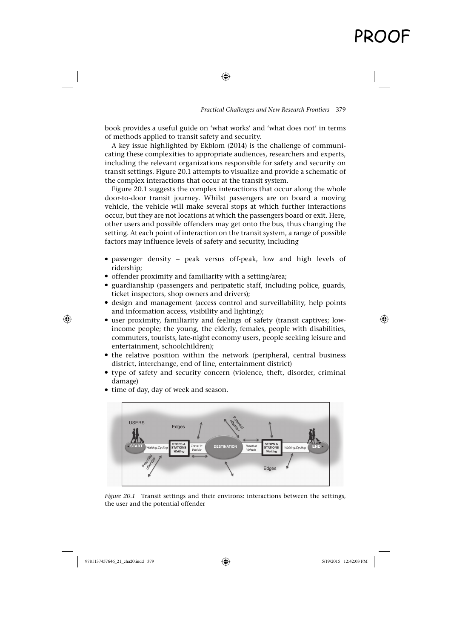#### ♠

#### *Practical Challenges and New Research Frontiers* 379

book provides a useful guide on 'what works' and 'what does not' in terms of methods applied to transit safety and security.

A key issue highlighted by Ekblom (2014) is the challenge of communicating these complexities to appropriate audiences, researchers and experts, including the relevant organizations responsible for safety and security on transit settings. Figure 20.1 attempts to visualize and provide a schematic of the complex interactions that occur at the transit system.

Figure 20.1 suggests the complex interactions that occur along the whole door-to-door transit journey. Whilst passengers are on board a moving vehicle, the vehicle will make several stops at which further interactions occur, but they are not locations at which the passengers board or exit. Here, other users and possible offenders may get onto the bus, thus changing the setting. At each point of interaction on the transit system, a range of possible factors may influence levels of safety and security, including

- passenger density peak versus off-peak, low and high levels of ridership;
- offender proximity and familiarity with a setting/area;
- guardianship (passengers and peripatetic staff, including police, guards, ticket inspectors, shop owners and drivers);
- design and management (access control and surveillability, help points and information access, visibility and lighting);
- user proximity, familiarity and feelings of safety (transit captives; lowincome people; the young, the elderly, females, people with disabilities, commuters, tourists, late-night economy users, people seeking leisure and entertainment, schoolchildren);
- the relative position within the network (peripheral, central business district, interchange, end of line, entertainment district)
- type of safety and security concern (violence, theft, disorder, criminal damage)
- time of day, day of week and season.



*Figure 20.1* Transit settings and their environs: interactions between the settings, the user and the potential offender

⊕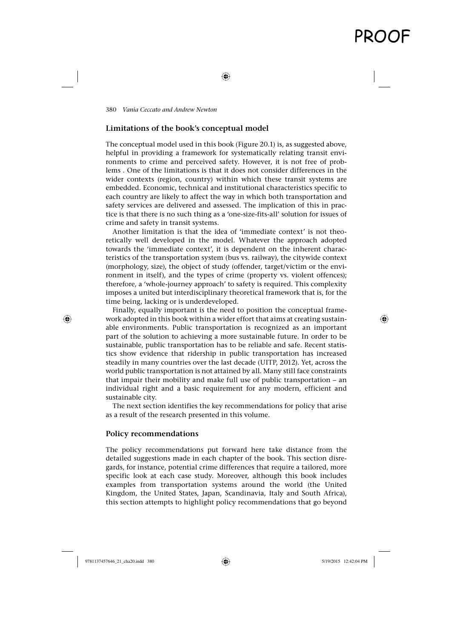◈

♠

380 *Vania Ceccato and Andrew Newton*

#### **Limitations of the book's conceptual model**

The conceptual model used in this book (Figure 20.1) is, as suggested above, helpful in providing a framework for systematically relating transit environments to crime and perceived safety. However, it is not free of problems . One of the limitations is that it does not consider differences in the wider contexts (region, country) within which these transit systems are embedded. Economic, technical and institutional characteristics specific to each country are likely to affect the way in which both transportation and safety services are delivered and assessed. The implication of this in practice is that there is no such thing as a 'one-size-fits-all' solution for issues of crime and safety in transit systems.

Another limitation is that the idea of 'immediate context' is not theoretically well developed in the model. Whatever the approach adopted towards the 'immediate context', it is dependent on the inherent characteristics of the transportation system (bus vs. railway), the citywide context (morphology, size), the object of study (offender, target/victim or the environment in itself), and the types of crime (property vs. violent offences); therefore, a 'whole-journey approach' to safety is required. This complexity imposes a united but interdisciplinary theoretical framework that is, for the time being, lacking or is underdeveloped.

Finally, equally important is the need to position the conceptual framework adopted in this book within a wider effort that aims at creating sustainable environments. Public transportation is recognized as an important part of the solution to achieving a more sustainable future. In order to be sustainable, public transportation has to be reliable and safe. Recent statistics show evidence that ridership in public transportation has increased steadily in many countries over the last decade (UITP, 2012). Yet, across the world public transportation is not attained by all. Many still face constraints that impair their mobility and make full use of public transportation – an individual right and a basic requirement for any modern, efficient and sustainable city.

The next section identifies the key recommendations for policy that arise as a result of the research presented in this volume.

#### **Policy recommendations**

The policy recommendations put forward here take distance from the detailed suggestions made in each chapter of the book. This section disregards, for instance, potential crime differences that require a tailored, more specific look at each case study. Moreover, although this book includes examples from transportation systems around the world (the United Kingdom, the United States, Japan, Scandinavia, Italy and South Africa), this section attempts to highlight policy recommendations that go beyond

9781137457646\_21\_cha20.indd 380 5/19/2015 12:42:04 PM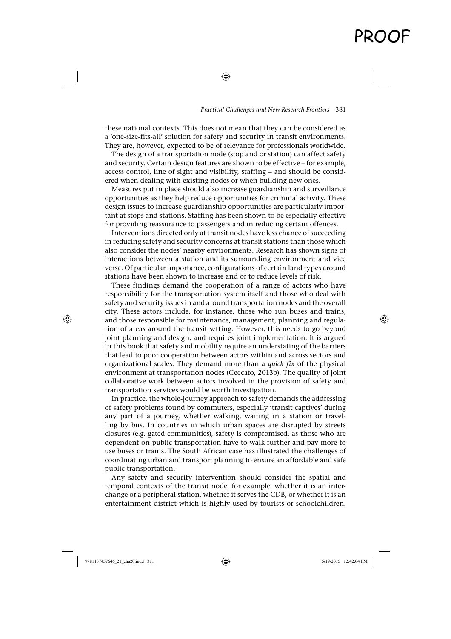◈

#### ♠

#### *Practical Challenges and New Research Frontiers* 381

these national contexts. This does not mean that they can be considered as a 'one-size-fits-all' solution for safety and security in transit environments. They are, however, expected to be of relevance for professionals worldwide.

The design of a transportation node (stop and or station) can affect safety and security. Certain design features are shown to be effective – for example, access control, line of sight and visibility, staffing – and should be considered when dealing with existing nodes or when building new ones.

Measures put in place should also increase guardianship and surveillance opportunities as they help reduce opportunities for criminal activity. These design issues to increase guardianship opportunities are particularly important at stops and stations. Staffing has been shown to be especially effective for providing reassurance to passengers and in reducing certain offences.

Interventions directed only at transit nodes have less chance of succeeding in reducing safety and security concerns at transit stations than those which also consider the nodes' nearby environments. Research has shown signs of interactions between a station and its surrounding environment and vice versa. Of particular importance, configurations of certain land types around stations have been shown to increase and or to reduce levels of risk.

These findings demand the cooperation of a range of actors who have responsibility for the transportation system itself and those who deal with safety and security issues in and around transportation nodes and the overall city. These actors include, for instance, those who run buses and trains, and those responsible for maintenance, management, planning and regulation of areas around the transit setting. However, this needs to go beyond joint planning and design, and requires joint implementation. It is argued in this book that safety and mobility require an understating of the barriers that lead to poor cooperation between actors within and across sectors and organizational scales. They demand more than a *quick fix* of the physical environment at transportation nodes (Ceccato, 2013b). The quality of joint collaborative work between actors involved in the provision of safety and transportation services would be worth investigation.

In practice, the whole-journey approach to safety demands the addressing of safety problems found by commuters, especially 'transit captives' during any part of a journey, whether walking, waiting in a station or travelling by bus. In countries in which urban spaces are disrupted by streets closures (e.g. gated communities), safety is compromised, as those who are dependent on public transportation have to walk further and pay more to use buses or trains. The South African case has illustrated the challenges of coordinating urban and transport planning to ensure an affordable and safe public transportation.

Any safety and security intervention should consider the spatial and temporal contexts of the transit node, for example, whether it is an interchange or a peripheral station, whether it serves the CDB, or whether it is an entertainment district which is highly used by tourists or schoolchildren.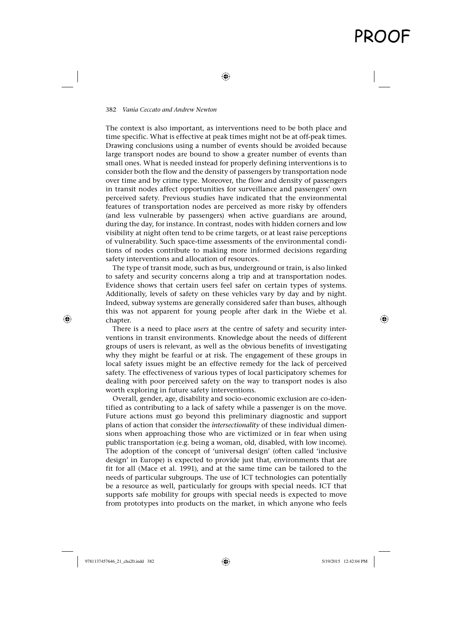⊕

♠

#### 382 *Vania Ceccato and Andrew Newton*

The context is also important, as interventions need to be both place and time specific. What is effective at peak times might not be at off-peak times. Drawing conclusions using a number of events should be avoided because large transport nodes are bound to show a greater number of events than small ones. What is needed instead for properly defining interventions is to consider both the flow and the density of passengers by transportation node over time and by crime type. Moreover, the flow and density of passengers in transit nodes affect opportunities for surveillance and passengers' own perceived safety. Previous studies have indicated that the environmental features of transportation nodes are perceived as more risky by offenders (and less vulnerable by passengers) when active guardians are around, during the day, for instance. In contrast, nodes with hidden corners and low visibility at night often tend to be crime targets, or at least raise perceptions of vulnerability. Such space-time assessments of the environmental conditions of nodes contribute to making more informed decisions regarding safety interventions and allocation of resources.

The type of transit mode, such as bus, underground or train, is also linked to safety and security concerns along a trip and at transportation nodes. Evidence shows that certain users feel safer on certain types of systems. Additionally, levels of safety on these vehicles vary by day and by night. Indeed, subway systems are generally considered safer than buses, although this was not apparent for young people after dark in the Wiebe et al. chapter.

There is a need to place *users* at the centre of safety and security interventions in transit environments. Knowledge about the needs of different groups of users is relevant, as well as the obvious benefits of investigating why they might be fearful or at risk. The engagement of these groups in local safety issues might be an effective remedy for the lack of perceived safety. The effectiveness of various types of local participatory schemes for dealing with poor perceived safety on the way to transport nodes is also worth exploring in future safety interventions.

Overall, gender, age, disability and socio-economic exclusion are co-identified as contributing to a lack of safety while a passenger is on the move. Future actions must go beyond this preliminary diagnostic and support plans of action that consider the *intersectionality* of these individual dimensions when approaching those who are victimized or in fear when using public transportation (e.g. being a woman, old, disabled, with low income). The adoption of the concept of 'universal design' (often called 'inclusive design' in Europe) is expected to provide just that, environments that are fit for all (Mace et al. 1991), and at the same time can be tailored to the needs of particular subgroups. The use of ICT technologies can potentially be a resource as well, particularly for groups with special needs. ICT that supports safe mobility for groups with special needs is expected to move from prototypes into products on the market, in which anyone who feels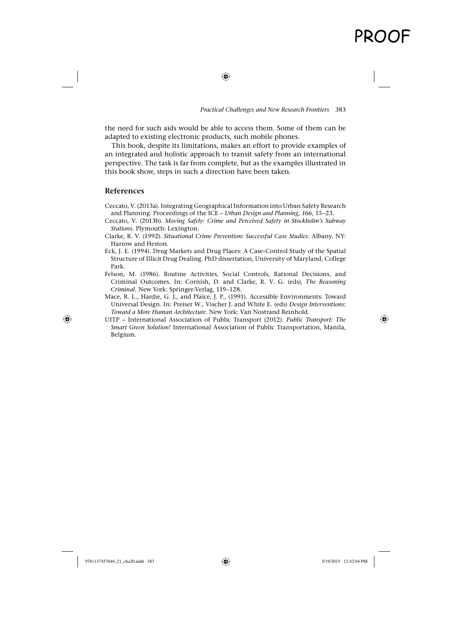◈

◈

#### *Practical Challenges and New Research Frontiers* 383

the need for such aids would be able to access them. Some of them can be adapted to existing electronic products, such mobile phones.

This book, despite its limitations, makes an effort to provide examples of an integrated and holistic approach to transit safety from an international perspective. The task is far from complete, but as the examples illustrated in this book show, steps in such a direction have been taken.

#### **References**

Ceccato, V. (2013a). Integrating Geographical Information into Urban Safety Research and Planning. Proceedings of the ICE – *Urban Design and Planning* , *166*, 15–23.

Ceccato, V. (2013b). *Moving Safely: Crime and Perceived Safety in Stockholm's Subway Stations*. Plymouth: Lexington.

- Clarke, R. V. (1992). *Situational Crime Prevention: Successful Case Studies*. Albany, NY: Harrow and Heston.
- Eck, J. E. (1994). Drug Markets and Drug Places: A Case-Control Study of the Spatial Structure of Illicit Drug Dealing. PhD dissertation, University of Maryland, College Park.
- Felson, M. (1986). Routine Activities, Social Controls, Rational Decisions, and Criminal Outcomes. In: Cornish, D. and Clarke, R. V. G. (eds), *The Reasoning Criminal*. New York: Springer-Verlag, 119–128.
- Mace, R. L., Hardie, G. J., and Plaice, J. P., (1991). Accessible Environments: Toward Universal Design. In: Preiser W., Vischer J. and White E. (eds) *Design Interventions: Toward a More Human Architecture*. New York: Van Nostrand Reinhold.
- UITP International Association of Public Transport (2012). *Public Transport: The Smart Green Solution!* International Association of Public Transportation, Manila, Belgium.



9781137457646\_21\_cha20.indd 383 5/19/2015 12:42:04 PM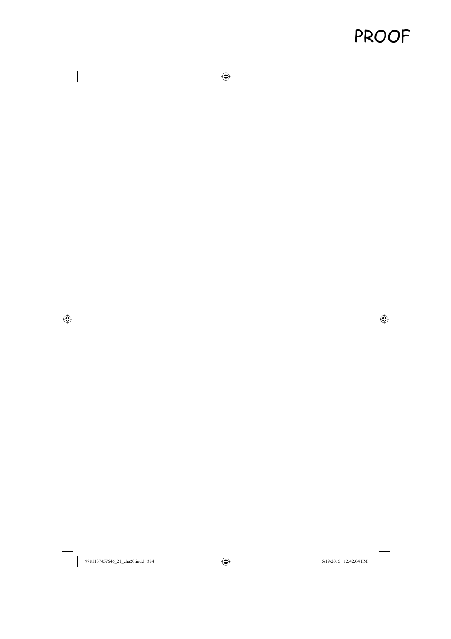

9781137457646\_21\_cha20.indd 384 5/19/2015 12:42:04 PM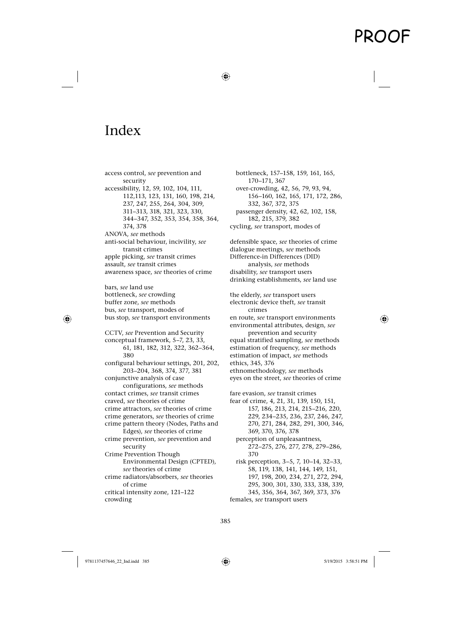⊕

### ♠

### Index

⊕

access control, *see* prevention and security accessibility, 12, 59, 102, 104, 111, 112,113, 123, 131, 160, 198, 214, 237, 247, 255, 264, 304, 309, 311–313, 318, 321, 323, 330, 344–347, 352, 353, 354, 358, 364, 374, 378 ANOVA, *see* methods anti-social behaviour, incivility, *see* transit crimes apple picking, *see* transit crimes assault, *see* transit crimes awareness space, *see* theories of crime bars, *see* land use bottleneck, *see* crowding buffer zone, *see* methods bus, *see* transport, modes of bus stop, *see* transport environments CCTV, *see* Prevention and Security conceptual framework, 5–7, 23, 33, 61, 181, 182, 312, 322, 362–364, 380 configural behaviour settings, 201, 202, 203–204, 368, 374, 377, 381 conjunctive analysis of case configurations, *see* methods contact crimes, *see* transit crimes craved, *see* theories of crime crime attractors, *see* theories of crime crime generators, *see* theories of crime crime pattern theory (Nodes, Paths and Edges), *see* theories of crime crime prevention, *see* prevention and

security Crime Prevention Though Environmental Design (CPTED),

*see* theories of crime crime radiators/absorbers, *see* theories of crime critical intensity zone, 121–122

crowding

over-crowding, 42, 56, 79, 93, 94, 156–160, 162, 165, 171, 172, 286, 332, 367, 372, 375 passenger density, 42, 62, 102, 158, 182, 215, 379, 382 cycling, *see* transport, modes of defensible space, *see* theories of crime dialogue meetings, *see* methods Difference-in Differences (DID) analysis, *see* methods disability, *see* transport users drinking establishments, *see* land use the elderly, *see* transport users electronic device theft, *see* transit crimes en route, *see* transport environments environmental attributes, design, *see* prevention and security equal stratified sampling, *see* methods estimation of frequency, *see* methods estimation of impact, *see* methods ethics, 345, 376 ethnomethodology, *see* methods eyes on the street, *see* theories of crime fare evasion, *see* transit crimes fear of crime, 4, 21, 31, 139, 150, 151, 157, 186, 213, 214, 215–216, 220, 229, 234–235, 236, 237, 246, 247, 270, 271, 284, 282, 291, 300, 346, 369, 370, 376, 378 perception of unpleasantness, 272–275, 276, 277, 278, 279–286,

bottleneck, 157–158, 159, 161, 165,

170–171, 367

370 risk perception, 3–5, 7, 10–14, 32–33, 58, 119, 138, 141, 144, 149, 151, 197, 198, 200, 234, 271, 272, 294, 295, 300, 301, 330, 333, 338, 339, 345, 356, 364, 367, 369, 373, 376 females, *see* transport users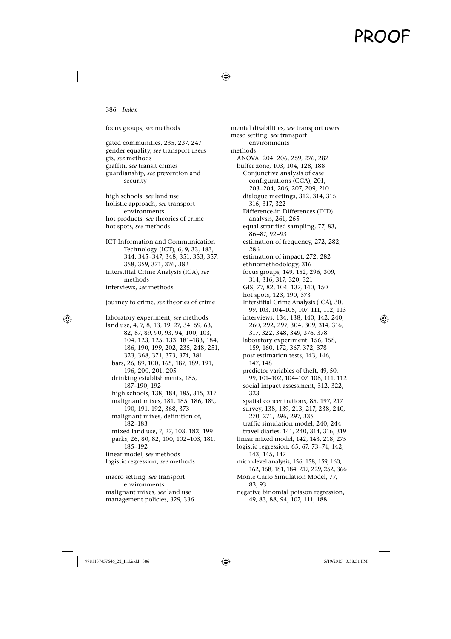◈

♠

386 *Index*

focus groups, *see* methods

gated communities, 235, 237, 247 gender equality, *see* transport users gis, *see* methods graffiti, *see* transit crimes guardianship, *see* prevention and security

high schools, *see* land use holistic approach, *see* transport environments hot products, *see* theories of crime hot spots, *see* methods

ICT Information and Communication Technology (ICT), 6, 9, 33, 183, 344, 345–347, 348, 351, 353, 357, 358, 359, 371, 376, 382 Interstitial Crime Analysis (ICA), *see* methods

interviews, *see* methods

 $\bigcirc$ 

journey to crime, *see* theories of crime

laboratory experiment, *see* methods land use, 4, 7, 8, 13, 19, 27, 34, 59, 63, 82, 87, 89, 90, 93, 94, 100, 103, 104, 123, 125, 133, 181–183, 184, 186, 190, 199, 202, 235, 248, 251, 323, 368, 371, 373, 374, 381 bars, 26, 89, 100, 165, 187, 189, 191, 196, 200, 201, 205 drinking establishments, 185, 187–190, 192 high schools, 138, 184, 185, 315, 317 malignant mixes, 181, 185, 186, 189, 190, 191, 192, 368, 373 malignant mixes, definition of, 182–183 mixed land use, 7, 27, 103, 182, 199 parks, 26, 80, 82, 100, 102–103, 181, 185–192 linear model, *see* methods logistic regression, *see* methods macro setting, *see* transport environments malignant mixes, *see* land use

management policies, 329, 336

mental disabilities, *see* transport users meso setting, *see* transport environments methods ANOVA, 204, 206, 259, 276, 282 buffer zone, 103, 104, 128, 188 Conjunctive analysis of case configurations (CCA), 201, 203–204, 206, 207, 209, 210 dialogue meetings, 312, 314, 315, 316, 317, 322 Difference-in Differences (DID) analysis, 261, 265 equal stratified sampling, 77, 83, 86–87, 92–93 estimation of frequency, 272, 282, 286 estimation of impact, 272, 282 ethnomethodology, 316 focus groups, 149, 152, 296, 309, 314, 316, 317, 320, 321 GIS, 77, 82, 104, 137, 140, 150 hot spots, 123, 190, 373 Interstitial Crime Analysis (ICA), 30, 99, 103, 104–105, 107, 111, 112, 113 interviews, 134, 138, 140, 142, 240, 260, 292, 297, 304, 309, 314, 316, 317, 322, 348, 349, 376, 378 laboratory experiment, 156, 158, 159, 160, 172, 367, 372, 378 post estimation tests, 143, 146, 147, 148 predictor variables of theft, 49, 50, 99, 101–102, 104–107, 108, 111, 112 social impact assessment, 312, 322, 323 spatial concentrations, 85, 197, 217 survey, 138, 139, 213, 217, 238, 240, 270, 271, 296, 297, 335 traffic simulation model, 240, 244 travel diaries, 141, 240, 314, 316, 319 linear mixed model, 142, 143, 218, 275 logistic regression, 65, 67, 73–74, 142, 143, 145, 147 micro-level analysis, 156, 158, 159, 160, 162, 168, 181, 184, 217, 229, 252, 366 Monte Carlo Simulation Model, 77, 83, 93 negative binomial poisson regression,

49, 83, 88, 94, 107, 111, 188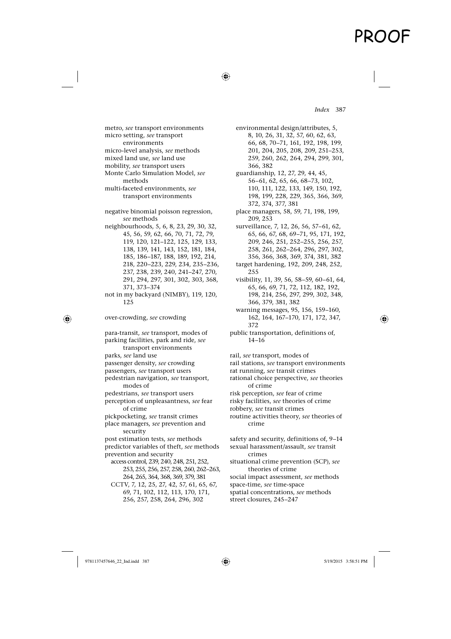◈

♠

*Index* 387

metro, *see* transport environments micro setting, *see* transport environments micro-level analysis, *see* methods mixed land use, *see* land use mobility, *see* transport users Monte Carlo Simulation Model, *see* methods multi-faceted environments, *see* transport environments negative binomial poisson regression, *see* methods neighbourhoods, 5, 6, 8, 23, 29, 30, 32, 45, 56, 59, 62, 66, 70, 71, 72, 79, 119, 120, 121–122, 125, 129, 133, 138, 139, 141, 143, 152, 181, 184, 185, 186–187, 188, 189, 192, 214, 218, 220–223, 229, 234, 235–236,

237, 238, 239, 240, 241–247, 270, 291, 294, 297, 301, 302, 303, 368, 371, 373–374

not in my backyard (NIMBY), 119, 120, 125

over-crowding, *see* crowding

⊕

para-transit, *see* transport, modes of parking facilities, park and ride, *see* transport environments parks, *see* land use passenger density, *see* crowding passengers, *see* transport users pedestrian navigation, *see* transport, modes of pedestrians, *see* transport users perception of unpleasantness, *see* fear of crime pickpocketing, *see* transit crimes place managers, *see* prevention and security post estimation tests, *see* methods predictor variables of theft, *see* methods prevention and security access control, 239, 240, 248, 251, 252, 253, 255, 256, 257, 258, 260, 262–263, 264, 265, 364, 368, 369, 379, 381 CCTV, 7, 12, 25, 27, 42, 57, 61, 65, 67, 69, 71, 102, 112, 113, 170, 171,

256, 257, 258, 264, 296, 302

environmental design/attributes, 5, 8, 10, 26, 31, 32, 57, 60, 62, 63, 66, 68, 70–71, 161, 192, 198, 199, 201, 204, 205, 208, 209, 251–253, 259, 260, 262, 264, 294, 299, 301, 366, 382 guardianship, 12, 27, 29, 44, 45, 56–61, 62, 65, 66, 68–73, 102, 110, 111, 122, 133, 149, 150, 192, 198, 199, 228, 229, 365, 366, 369, 372, 374, 377, 381 place managers, 58, 59, 71, 198, 199, 209, 253 surveillance, 7, 12, 26, 56, 57–61, 62, 65, 66, 67, 68, 69–71, 95, 171, 192, 209, 246, 251, 252–255, 256, 257, 258, 261, 262–264, 296, 297, 302, 356, 366, 368, 369, 374, 381, 382 target hardening, 192, 209, 248, 252, 255 visibility, 11, 39, 56, 58–59, 60–61, 64, 65, 66, 69, 71, 72, 112, 182, 192, 198, 214, 256, 297, 299, 302, 348, 366, 379, 381, 382 warning messages, 95, 156, 159–160, 162, 164, 167–170, 171, 172, 347, 372 public transportation, definitions of, 14–16

rail, *see* transport, modes of

- rail stations, *see* transport environments
- rat running, *see* transit crimes
- rational choice perspective, *see* theories of crime

risk perception, *see* fear of crime

- risky facilities, *see* theories of crime
- robbery, *see* transit crimes routine activities theory, *see* theories of
	- crime
- safety and security, definitions of, 9–14 sexual harassment/assault, *see* transit crimes
- situational crime prevention (SCP), *see* theories of crime
- social impact assessment, *see* methods space-time, *see* time-space
- spatial concentrations, *see* methods

street closures, 245–247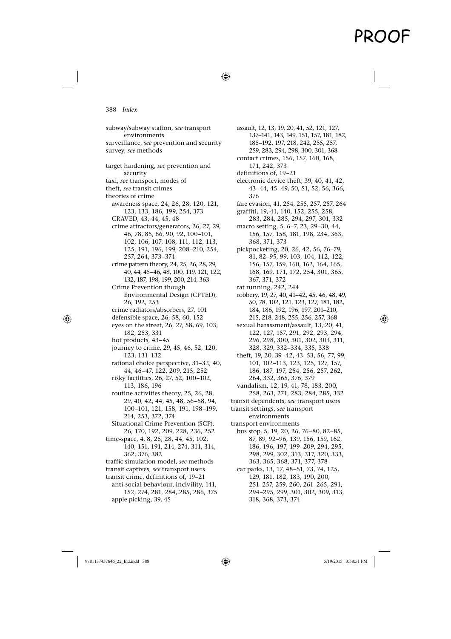◈

♠

388 *Index*

subway/subway station, *see* transport environments surveillance, *see* prevention and security survey, *see* methods target hardening, *see* prevention and security taxi, *see* transport, modes of theft, *see* transit crimes theories of crime awareness space, 24, 26, 28, 120, 121, 123, 133, 186, 199, 254, 373 CRAVED, 43, 44, 45, 48 crime attractors/generators, 26, 27, 29, 46, 78, 85, 86, 90, 92, 100–101, 102, 106, 107, 108, 111, 112, 113, 125, 191, 196, 199, 208–210, 254, 257, 264, 373–374 crime pattern theory, 24, 25, 26, 28, 29, 40, 44, 45–46, 48, 100, 119, 121, 122, 132, 187, 198, 199, 200, 214, 363 Crime Prevention though Environmental Design (CPTED), 26, 192, 253 crime radiators/absorbers, 27, 101 defensible space, 26, 58, 60, 152 eyes on the street, 26, 27, 58, 69, 103, 182, 253, 331 hot products, 43–45 journey to crime, 29, 45, 46, 52, 120, 123, 131–132 rational choice perspective, 31–32, 40, 44, 46–47, 122, 209, 215, 252 risky facilities, 26, 27, 52, 100–102, 113, 186, 196 routine activities theory, 25, 26, 28, 29, 40, 42, 44, 45, 48, 56–58, 94, 100–101, 121, 158, 191, 198–199, 214, 253, 372, 374 Situational Crime Prevention (SCP), 26, 170, 192, 209, 228, 236, 252 time-space, 4, 8, 25, 28, 44, 45, 102, 140, 151, 191, 214, 274, 311, 314, 362, 376, 382 traffic simulation model, *see* methods transit captives, *see* transport users transit crime, definitions of, 19–21 anti-social behaviour, incivility, 141, 152, 274, 281, 284, 285, 286, 375 apple picking, 39, 45

assault, 12, 13, 19, 20, 41, 52, 121, 127, 137–141, 143, 149, 151, 157, 181, 182, 185–192, 197, 218, 242, 255, 257, 259, 283, 294, 298, 300, 301, 368 contact crimes, 156, 157, 160, 168, 171, 242, 373 definitions of, 19–21 electronic device theft, 39, 40, 41, 42, 43–44, 45–49, 50, 51, 52, 56, 366, 376 fare evasion, 41, 254, 255, 257, 257, 264 graffiti, 19, 41, 140, 152, 255, 258, 283, 284, 285, 294, 297, 301, 332 macro setting, 5, 6–7, 23, 29–30, 44, 156, 157, 158, 181, 198, 234, 363, 368, 371, 373 pickpocketing, 20, 26, 42, 56, 76–79, 81, 82–95, 99, 103, 104, 112, 122, 156, 157, 159, 160, 162, 164, 165, 168, 169, 171, 172, 254, 301, 365, 367, 371, 372 rat running, 242, 244 robbery, 19, 27, 40, 41–42, 45, 46, 48, 49, 50, 78, 102, 121, 123, 127, 181, 182, 184, 186, 192, 196, 197, 201–210, 215, 218, 248, 255, 256, 257, 368 sexual harassment/assault, 13, 20, 41, 122, 127, 157, 291, 292, 293, 294, 296, 298, 300, 301, 302, 303, 311, 328, 329, 332–334, 335, 338 theft, 19, 20, 39–42, 43–53, 56, 77, 99, 101, 102–113, 123, 125, 127, 157, 186, 187, 197, 254, 256, 257, 262, 264, 332, 365, 376, 379 vandalism, 12, 19, 41, 78, 183, 200, 258, 263, 271, 283, 284, 285, 332 transit dependents, *see* transport users transit settings, *see* transport environments transport environments bus stop, 5, 19, 20, 26, 76–80, 82–85, 87, 89, 92–96, 139, 156, 159, 162, 186, 196, 197, 199–209, 294, 295, 298, 299, 302, 313, 317, 320, 333, 363, 365, 368, 371, 377, 378 car parks, 13, 17, 48–51, 73, 74, 125, 129, 181, 182, 183, 190, 200, 251–257, 259, 260, 261–265, 291, 294–295, 299, 301, 302, 309, 313, 318, 368, 373, 374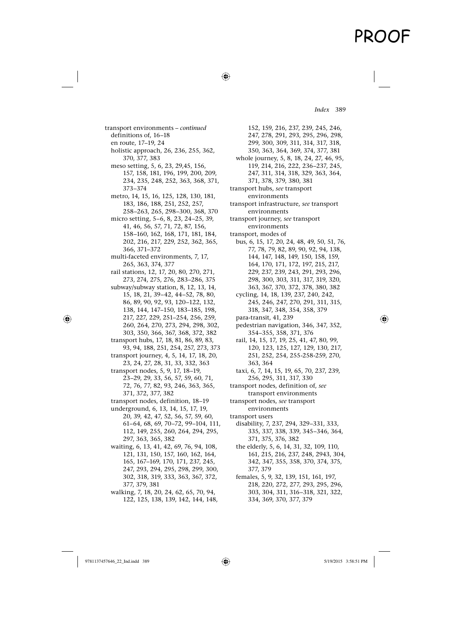⊕

⊕

*Index* 389

152, 159, 216, 237, 239, 245, 246,

transport environments – *continued* definitions of, 16–18 en route, 17–19, 24 holistic approach, 26, 236, 255, 362, 370, 377, 383 meso setting, 5, 6, 23, 29,45, 156, 157, 158, 181, 196, 199, 200, 209, 234, 235, 248, 252, 363, 368, 371, 373–374 metro, 14, 15, 16, 125, 128, 130, 181, 183, 186, 188, 251, 252, 257, 258–263, 265, 298–300, 368, 370 micro setting, 5–6, 8, 23, 24–25, 39, 41, 46, 56, 57, 71, 72, 87, 156, 158–160, 162, 168, 171, 181, 184, 202, 216, 217, 229, 252, 362, 365, 366, 371–372 multi-faceted environments, 7, 17, 265, 363, 374, 377 rail stations, 12, 17, 20, 80, 270, 271, 273, 274, 275, 276, 283–286, 375 subway/subway station, 8, 12, 13, 14, 15, 18, 21, 39–42, 44–52, 78, 80, 86, 89, 90, 92, 93, 120–122, 132, 138, 144, 147–150, 183–185, 198, 217, 227, 229, 251–254, 256, 259, 260, 264, 270, 273, 294, 298, 302, 303, 350, 366, 367, 368, 372, 382 transport hubs, 17, 18, 81, 86, 89, 83, 93, 94, 188, 251, 254, 257, 273, 373 transport journey, 4, 5, 14, 17, 18, 20, 23, 24, 27, 28, 31, 33, 332, 363 transport nodes, 5, 9, 17, 18–19, 23–29, 29, 33, 56, 57, 59, 60, 71, 72, 76, 77, 82, 93, 246, 363, 365, 371, 372, 377, 382 transport nodes, definition, 18–19 underground, 6, 13, 14, 15, 17, 19, 20, 39, 42, 47, 52, 56, 57, 59, 60, 61–64, 68, 69, 70–72, 99–104, 111, 112, 149, 255, 260, 264, 294, 295, 297, 363, 365, 382 waiting, 6, 13, 41, 42, 69, 76, 94, 108, 121, 131, 150, 157, 160, 162, 164, 165, 167–169, 170, 171, 237, 245, 247, 293, 294, 295, 298, 299, 300, 302, 318, 319, 333, 363, 367, 372, 377, 379, 381

walking, 7, 18, 20, 24, 62, 65, 70, 94, 122, 125, 138, 139, 142, 144, 148,

247, 278, 291, 293, 295, 296, 298, 299, 300, 309, 311, 314, 317, 318, 350, 363, 364, 369, 374, 377, 381 whole journey, 5, 8, 18, 24, 27, 46, 95, 119, 214, 216, 222, 236–237, 245, 247, 311, 314, 318, 329, 363, 364, 371, 378, 379, 380, 381 transport hubs, *see* transport environments transport infrastructure, *see* transport environments transport journey, *see* transport environments transport, modes of bus, 6, 15, 17, 20, 24, 48, 49, 50, 51, 76, 77, 78, 79, 82, 89, 90, 92, 94, 138, 144, 147, 148, 149, 150, 158, 159, 164, 170, 171, 172, 197, 215, 217, 229, 237, 239, 243, 291, 293, 296, 298, 300, 303, 311, 317, 319, 320, 363, 367, 370, 372, 378, 380, 382 cycling, 14, 18, 139, 237, 240, 242, 245, 246, 247, 270, 291, 311, 315, 318, 347, 348, 354, 358, 379 para-transit, 41, 239 pedestrian navigation, 346, 347, 352, 354–355, 358, 371, 376 rail, 14, 15, 17, 19, 25, 41, 47, 80, 99, 120, 123, 125, 127, 129, 130, 217, 251, 252, 254, 255-258-259, 270, 363, 364 taxi, 6, 7, 14, 15, 19, 65, 70, 237, 239, 256, 295, 311, 317, 330 transport nodes, definition of, *see* transport environments transport nodes, *see* transport environments transport users disability, 7, 237, 294, 329–331, 333, 335, 337, 338, 339, 345–346, 364, 371, 375, 376, 382 the elderly, 5, 6, 14, 31, 32, 109, 110, 161, 215, 216, 237, 248, 2943, 304, 342, 347, 355, 358, 370, 374, 375, 377, 379

females, 5, 9, 32, 139, 151, 161, 197, 218, 220, 272, 277, 293, 295, 296, 303, 304, 311, 316–318, 321, 322, 334, 369, 370, 377, 379

9781137457646\_22\_Ind.indd 389 5/19/2015 3:58:51 PM

 $\bigcirc$